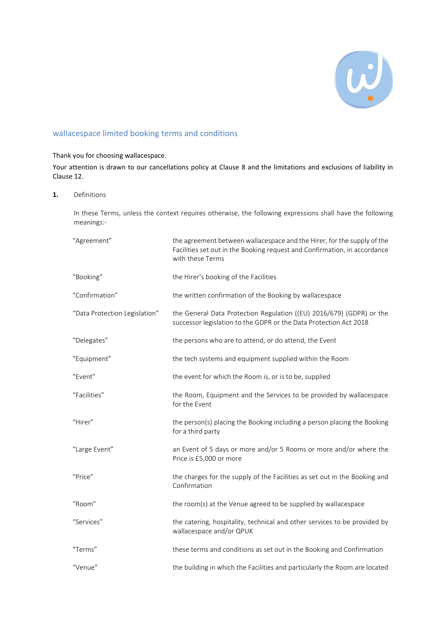

# wallacespace limited booking terms and conditions

## Thank you for choosing wallacespace.

Your attention is drawn to our cancellations policy at Clause 8 and the limitations and exclusions of liability in Clause 12.

#### **1.** Definitions

In these Terms, unless the context requires otherwise, the following expressions shall have the following meanings:-

| "Agreement"                   | the agreement between wallacespace and the Hirer, for the supply of the<br>Facilities set out in the Booking request and Confirmation, in accordance<br>with these Terms |
|-------------------------------|--------------------------------------------------------------------------------------------------------------------------------------------------------------------------|
| "Booking"                     | the Hirer's booking of the Facilities                                                                                                                                    |
| "Confirmation"                | the written confirmation of the Booking by wallacespace                                                                                                                  |
| "Data Protection Legislation" | the General Data Protection Regulation ((EU) 2016/679) (GDPR) or the<br>successor legislation to the GDPR or the Data Protection Act 2018                                |
| "Delegates"                   | the persons who are to attend, or do attend, the Event                                                                                                                   |
| "Equipment"                   | the tech systems and equipment supplied within the Room                                                                                                                  |
| "Event"                       | the event for which the Room is, or is to be, supplied                                                                                                                   |
| "Facilities"                  | the Room, Equipment and the Services to be provided by wallacespace<br>for the Event                                                                                     |
| "Hirer"                       | the person(s) placing the Booking including a person placing the Booking<br>for a third party                                                                            |
| "Large Event"                 | an Event of 5 days or more and/or 5 Rooms or more and/or where the<br>Price is £5,000 or more                                                                            |
| "Price"                       | the charges for the supply of the Facilities as set out in the Booking and<br>Confirmation                                                                               |
| "Room"                        | the room(s) at the Venue agreed to be supplied by wallacespace                                                                                                           |
| "Services"                    | the catering, hospitality, technical and other services to be provided by<br>wallacespace and/or QPUK                                                                    |
| "Terms"                       | these terms and conditions as set out in the Booking and Confirmation                                                                                                    |
| "Venue"                       | the building in which the Facilities and particularly the Room are located                                                                                               |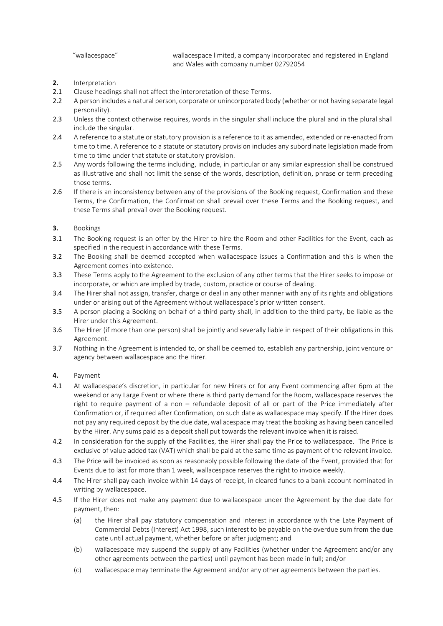"wallacespace" wallacespace limited, a company incorporated and registered in England and Wales with company number 02792054

- **2.** Interpretation
- 2.1 Clause headings shall not affect the interpretation of these Terms.
- 2.2 A person includes a natural person, corporate or unincorporated body (whether or not having separate legal personality).
- 2.3 Unless the context otherwise requires, words in the singular shall include the plural and in the plural shall include the singular.
- 2.4 A reference to a statute or statutory provision is a reference to it as amended, extended or re-enacted from time to time. A reference to a statute or statutory provision includes any subordinate legislation made from time to time under that statute or statutory provision.
- 2.5 Any words following the terms including, include, in particular or any similar expression shall be construed as illustrative and shall not limit the sense of the words, description, definition, phrase or term preceding those terms.
- 2.6 If there is an inconsistency between any of the provisions of the Booking request, Confirmation and these Terms, the Confirmation, the Confirmation shall prevail over these Terms and the Booking request, and these Terms shall prevail over the Booking request.
- **3.** Bookings
- 3.1 The Booking request is an offer by the Hirer to hire the Room and other Facilities for the Event, each as specified in the request in accordance with these Terms.
- 3.2 The Booking shall be deemed accepted when wallacespace issues a Confirmation and this is when the Agreement comes into existence.
- 3.3 These Terms apply to the Agreement to the exclusion of any other terms that the Hirer seeks to impose or incorporate, or which are implied by trade, custom, practice or course of dealing.
- 3.4 The Hirer shall not assign, transfer, charge or deal in any other manner with any of its rights and obligations under or arising out of the Agreement without wallacespace's prior written consent.
- 3.5 A person placing a Booking on behalf of a third party shall, in addition to the third party, be liable as the Hirer under this Agreement.
- 3.6 The Hirer (if more than one person) shall be jointly and severally liable in respect of their obligations in this Agreement.
- 3.7 Nothing in the Agreement is intended to, or shall be deemed to, establish any partnership, joint venture or agency between wallacespace and the Hirer.
- **4.** Payment
- 4.1 At wallacespace's discretion, in particular for new Hirers or for any Event commencing after 6pm at the weekend or any Large Event or where there is third party demand for the Room, wallacespace reserves the right to require payment of a non – refundable deposit of all or part of the Price immediately after Confirmation or, if required after Confirmation, on such date as wallacespace may specify. If the Hirer does not pay any required deposit by the due date, wallacespace may treat the booking as having been cancelled by the Hirer. Any sums paid as a deposit shall put towards the relevant invoice when it is raised.
- 4.2 In consideration for the supply of the Facilities, the Hirer shall pay the Price to wallacespace. The Price is exclusive of value added tax (VAT) which shall be paid at the same time as payment of the relevant invoice.
- <span id="page-1-0"></span>4.3 The Price will be invoiced as soon as reasonably possible following the date of the Event, provided that for Events due to last for more than 1 week, wallacespace reserves the right to invoice weekly.
- 4.4 The Hirer shall pay each invoice within 14 days of receipt, in cleared funds to a bank account nominated in writing by wallacespace.
- 4.5 If the Hirer does not make any payment due to wallacespace under the Agreement by the due date for payment, then:
	- (a) the Hirer shall pay statutory compensation and interest in accordance with the Late Payment of Commercial Debts (Interest) Act 1998, such interest to be payable on the overdue sum from the due date until actual payment, whether before or after judgment; and
	- (b) wallacespace may suspend the supply of any Facilities (whether under the Agreement and/or any other agreements between the parties) until payment has been made in full; and/or
	- (c) wallacespace may terminate the Agreement and/or any other agreements between the parties.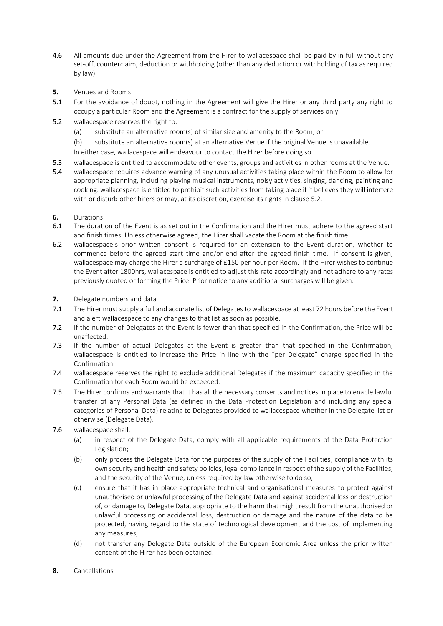- <span id="page-2-2"></span>4.6 All amounts due under the Agreement from the Hirer to wallacespace shall be paid by in full without any set-off, counterclaim, deduction or withholding (other than any deduction or withholding of tax as required by law).
- **5.** Venues and Rooms
- 5.1 For the avoidance of doubt, nothing in the Agreement will give the Hirer or any third party any right to occupy a particular Room and the Agreement is a contract for the supply of services only.
- <span id="page-2-0"></span>5.2 wallacespace reserves the right to:
	- (a) substitute an alternative room(s) of similar size and amenity to the Room; or
	- (b) substitute an alternative room(s) at an alternative Venue if the original Venue is unavailable.
	- In either case, wallacespace will endeavour to contact the Hirer before doing so.
- 5.3 wallacespace is entitled to accommodate other events, groups and activities in other rooms at the Venue.
- 5.4 wallacespace requires advance warning of any unusual activities taking place within the Room to allow for appropriate planning, including playing musical instruments, noisy activities, singing, dancing, painting and cooking. wallacespace is entitled to prohibit such activities from taking place if it believes they will interfere with or disturb other hirers or may, at its discretion, exercise its rights in clause [5.2.](#page-2-0)
- **6.** Durations<br>**6.1** The durat
- The duration of the Event is as set out in the Confirmation and the Hirer must adhere to the agreed start and finish times. Unless otherwise agreed, the Hirer shall vacate the Room at the finish time.
- 6.2 wallacespace's prior written consent is required for an extension to the Event duration, whether to commence before the agreed start time and/or end after the agreed finish time. If consent is given, wallacespace may charge the Hirer a surcharge of £150 per hour per Room. If the Hirer wishes to continue the Event after 1800hrs, wallacespace is entitled to adjust this rate accordingly and not adhere to any rates previously quoted or forming the Price. Prior notice to any additional surcharges will be given.
- **7.** Delegate numbers and data
- 7.1 The Hirer must supply a full and accurate list of Delegates to wallacespace at least 72 hours before the Event and alert wallacespace to any changes to that list as soon as possible.
- 7.2 If the number of Delegates at the Event is fewer than that specified in the Confirmation, the Price will be unaffected.
- 7.3 If the number of actual Delegates at the Event is greater than that specified in the Confirmation, wallacespace is entitled to increase the Price in line with the "per Delegate" charge specified in the Confirmation.
- 7.4 wallacespace reserves the right to exclude additional Delegates if the maximum capacity specified in the Confirmation for each Room would be exceeded.
- 7.5 The Hirer confirms and warrants that it has all the necessary consents and notices in place to enable lawful transfer of any Personal Data (as defined in the Data Protection Legislation and including any special categories of Personal Data) relating to Delegates provided to wallacespace whether in the Delegate list or otherwise (Delegate Data).
- 7.6 wallacespace shall:
	- (a) in respect of the Delegate Data, comply with all applicable requirements of the Data Protection Legislation;
	- (b) only process the Delegate Data for the purposes of the supply of the Facilities, compliance with its own security and health and safety policies, legal compliance in respect of the supply of the Facilities, and the security of the Venue, unless required by law otherwise to do so;
	- (c) ensure that it has in place appropriate technical and organisational measures to protect against unauthorised or unlawful processing of the Delegate Data and against accidental loss or destruction of, or damage to, Delegate Data, appropriate to the harm that might result from the unauthorised or unlawful processing or accidental loss, destruction or damage and the nature of the data to be protected, having regard to the state of technological development and the cost of implementing any measures;
	- (d) not transfer any Delegate Data outside of the European Economic Area unless the prior written consent of the Hirer has been obtained.
- <span id="page-2-1"></span>**8.** Cancellations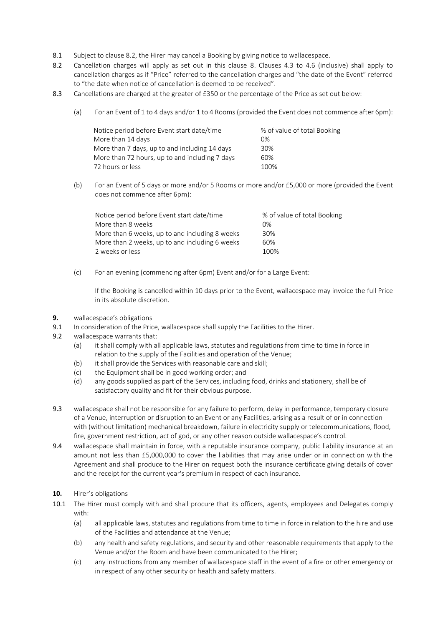- 8.1 Subject to claus[e 8.2,](#page-3-0) the Hirer may cancel a Booking by giving notice to wallacespace.
- <span id="page-3-0"></span>8.2 Cancellation charges will apply as set out in this clause [8.](#page-2-1) Clauses [4.3](#page-1-0) to [4.6](#page-2-2) (inclusive) shall apply to cancellation charges as if "Price" referred to the cancellation charges and "the date of the Event" referred to "the date when notice of cancellation is deemed to be received".
- 8.3 Cancellations are charged at the greater of £350 or the percentage of the Price as set out below:
	- (a) For an Event of 1 to 4 days and/or 1 to 4 Rooms (provided the Event does not commence after 6pm):

| Notice period before Event start date/time     | % of value of total Booking |
|------------------------------------------------|-----------------------------|
| More than 14 days                              | 0%                          |
| More than 7 days, up to and including 14 days  | 30%                         |
| More than 72 hours, up to and including 7 days | 60%                         |
| 72 hours or less                               | 100%                        |

(b) For an Event of 5 days or more and/or 5 Rooms or more and/or £5,000 or more (provided the Event does not commence after 6pm):

| Notice period before Event start date/time     | % of value of total Booking |
|------------------------------------------------|-----------------------------|
| More than 8 weeks                              | 0%                          |
| More than 6 weeks, up to and including 8 weeks | 30%                         |
| More than 2 weeks, up to and including 6 weeks | 60%                         |
| 2 weeks or less                                | 100%                        |

(c) For an evening (commencing after 6pm) Event and/or for a Large Event:

If the Booking is cancelled within 10 days prior to the Event, wallacespace may invoice the full Price in its absolute discretion.

- **9.** wallacespace's obligations
- 9.1 In consideration of the Price, wallacespace shall supply the Facilities to the Hirer.
- <span id="page-3-1"></span>9.2 wallacespace warrants that:
	- (a) it shall comply with all applicable laws, statutes and regulations from time to time in force in relation to the supply of the Facilities and operation of the Venue;
	- (b) it shall provide the Services with reasonable care and skill;
	- (c) the Equipment shall be in good working order; and
	- (d) any goods supplied as part of the Services, including food, drinks and stationery, shall be of satisfactory quality and fit for their obvious purpose.
- 9.3 wallacespace shall not be responsible for any failure to perform, delay in performance, temporary closure of a Venue, interruption or disruption to an Event or any Facilities, arising as a result of or in connection with (without limitation) mechanical breakdown, failure in electricity supply or telecommunications, flood, fire, government restriction, act of god, or any other reason outside wallacespace's control.
- 9.4 wallacespace shall maintain in force, with a reputable insurance company, public liability insurance at an amount not less than £5,000,000 to cover the liabilities that may arise under or in connection with the Agreement and shall produce to the Hirer on request both the insurance certificate giving details of cover and the receipt for the current year's premium in respect of each insurance.
- **10.** Hirer's obligations
- 10.1 The Hirer must comply with and shall procure that its officers, agents, employees and Delegates comply with:
	- (a) all applicable laws, statutes and regulations from time to time in force in relation to the hire and use of the Facilities and attendance at the Venue;
	- (b) any health and safety regulations, and security and other reasonable requirements that apply to the Venue and/or the Room and have been communicated to the Hirer;
	- (c) any instructions from any member of wallacespace staff in the event of a fire or other emergency or in respect of any other security or health and safety matters.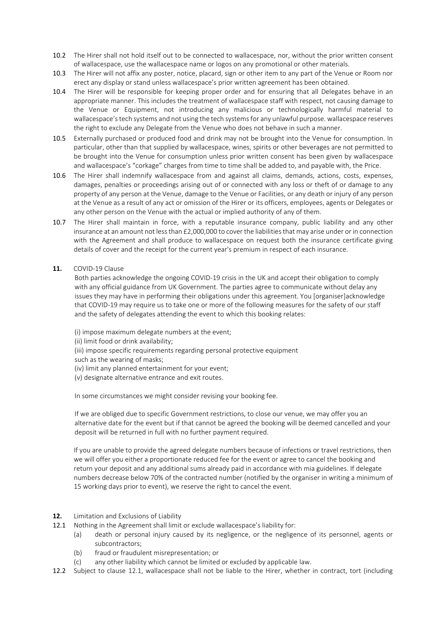- 10.2 The Hirer shall not hold itself out to be connected to wallacespace, nor, without the prior written consent of wallacespace, use the wallacespace name or logos on any promotional or other materials.
- 10.3 The Hirer will not affix any poster, notice, placard, sign or other item to any part of the Venue or Room nor erect any display or stand unless wallacespace's prior written agreement has been obtained.
- 10.4 The Hirer will be responsible for keeping proper order and for ensuring that all Delegates behave in an appropriate manner. This includes the treatment of wallacespace staff with respect, not causing damage to the Venue or Equipment, not introducing any malicious or technologically harmful material to wallacespace's tech systems and not using the tech systems for any unlawful purpose. wallacespace reserves the right to exclude any Delegate from the Venue who does not behave in such a manner.
- 10.5 Externally purchased or produced food and drink may not be brought into the Venue for consumption. In particular, other than that supplied by wallacespace, wines, spirits or other beverages are not permitted to be brought into the Venue for consumption unless prior written consent has been given by wallacespace and wallacespace's "corkage" charges from time to time shall be added to, and payable with, the Price.
- 10.6 The Hirer shall indemnify wallacespace from and against all claims, demands, actions, costs, expenses, damages, penalties or proceedings arising out of or connected with any loss or theft of or damage to any property of any person at the Venue, damage to the Venue or Facilities, or any death or injury of any person at the Venue as a result of any act or omission of the Hirer or its officers, employees, agents or Delegates or any other person on the Venue with the actual or implied authority of any of them.
- 10.7 The Hirer shall maintain in force, with a reputable insurance company, public liability and any other insurance at an amount not less than £2,000,000 to cover the liabilities that may arise under or in connection with the Agreement and shall produce to wallacespace on request both the insurance certificate giving details of cover and the receipt for the current year's premium in respect of each insurance.
- **11.** COVID-19 Clause

Both parties acknowledge the ongoing COVID-19 crisis in the UK and accept their obligation to comply with any official guidance from UK Government. The parties agree to communicate without delay any issues they may have in performing their obligations under this agreement. You [organiser]acknowledge that COVID-19 may require us to take one or more of the following measures for the safety of our staff and the safety of delegates attending the event to which this booking relates:

(i) impose maximum delegate numbers at the event;

- (ii) limit food or drink availability;
- (iii) impose specific requirements regarding personal protective equipment
- such as the wearing of masks;
- (iv) limit any planned entertainment for your event;
- (v) designate alternative entrance and exit routes.

In some circumstances we might consider revising your booking fee.

If we are obliged due to specific Government restrictions, to close our venue, we may offer you an alternative date for the event but if that cannot be agreed the booking will be deemed cancelled and your deposit will be returned in full with no further payment required.

If you are unable to provide the agreed delegate numbers because of infections or travel restrictions, then we will offer you either a proportionate reduced fee for the event or agree to cancel the booking and return your deposit and any additional sums already paid in accordance with mia guidelines. If delegate numbers decrease below 70% of the contracted number (notified by the organiser in writing a minimum of 15 working days prior to event), we reserve the right to cancel the event.

- **12.** Limitation and Exclusions of Liability
- <span id="page-4-0"></span>12.1 Nothing in the Agreement shall limit or exclude wallacespace's liability for:
	- (a) death or personal injury caused by its negligence, or the negligence of its personnel, agents or subcontractors;
	- (b) fraud or fraudulent misrepresentation; or
	- (c) any other liability which cannot be limited or excluded by applicable law.
- <span id="page-4-1"></span>12.2 Subject to clause [12.1,](#page-4-0) wallacespace shall not be liable to the Hirer, whether in contract, tort (including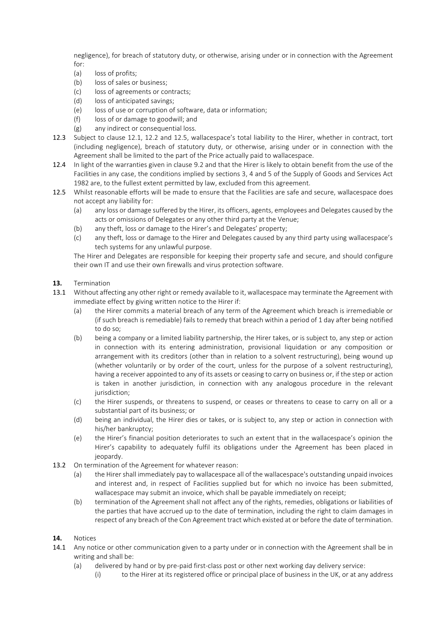negligence), for breach of statutory duty, or otherwise, arising under or in connection with the Agreement for:

- (a) loss of profits;
- (b) loss of sales or business;
- (c) loss of agreements or contracts;
- (d) loss of anticipated savings;
- (e) loss of use or corruption of software, data or information;
- (f) loss of or damage to goodwill; and
- (g) any indirect or consequential loss.
- 12.3 Subject to clause [12.1,](#page-4-0) [12.2](#page-4-1) and 12.5, wallacespace's total liability to the Hirer, whether in contract, tort (including negligence), breach of statutory duty, or otherwise, arising under or in connection with the Agreement shall be limited to the part of the Price actually paid to wallacespace.
- 12.4 In light of the warranties given in clause [9.2](#page-3-1) and that the Hirer is likely to obtain benefit from the use of the Facilities in any case, the conditions implied by sections 3, 4 and 5 of the Supply of Goods and Services Act 1982 are, to the fullest extent permitted by law, excluded from this agreement.
- 12.5 Whilst reasonable efforts will be made to ensure that the Facilities are safe and secure, wallacespace does not accept any liability for:
	- (a) any loss or damage suffered by the Hirer, its officers, agents, employees and Delegates caused by the acts or omissions of Delegates or any other third party at the Venue;
	- (b) any theft, loss or damage to the Hirer's and Delegates' property;
	- (c) any theft, loss or damage to the Hirer and Delegates caused by any third party using wallacespace's tech systems for any unlawful purpose.

The Hirer and Delegates are responsible for keeping their property safe and secure, and should configure their own IT and use their own firewalls and virus protection software.

## **13.** Termination

- 13.1 Without affecting any other right or remedy available to it, wallacespace may terminate the Agreement with immediate effect by giving written notice to the Hirer if:
	- (a) the Hirer commits a material breach of any term of the Agreement which breach is irremediable or (if such breach is remediable) fails to remedy that breach within a period of 1 day after being notified to do so;
	- (b) being a company or a limited liability partnership, the Hirer takes, or is subject to, any step or action in connection with its entering administration, provisional liquidation or any composition or arrangement with its creditors (other than in relation to a solvent restructuring), being wound up (whether voluntarily or by order of the court, unless for the purpose of a solvent restructuring), having a receiver appointed to any of its assets or ceasing to carry on business or, if the step or action is taken in another jurisdiction, in connection with any analogous procedure in the relevant jurisdiction;
	- (c) the Hirer suspends, or threatens to suspend, or ceases or threatens to cease to carry on all or a substantial part of its business; or
	- (d) being an individual, the Hirer dies or takes, or is subject to, any step or action in connection with his/her bankruptcy;
	- (e) the Hirer's financial position deteriorates to such an extent that in the wallacespace's opinion the Hirer's capability to adequately fulfil its obligations under the Agreement has been placed in jeopardy.
- 13.2 On termination of the Agreement for whatever reason:
	- (a) the Hirer shall immediately pay to wallacespace all of the wallacespace's outstanding unpaid invoices and interest and, in respect of Facilities supplied but for which no invoice has been submitted, wallacespace may submit an invoice, which shall be payable immediately on receipt;
	- (b) termination of the Agreement shall not affect any of the rights, remedies, obligations or liabilities of the parties that have accrued up to the date of termination, including the right to claim damages in respect of any breach of the Con Agreement tract which existed at or before the date of termination.
- **14.** Notices
- 14.1 Any notice or other communication given to a party under or in connection with the Agreement shall be in writing and shall be:
	- (a) delivered by hand or by pre-paid first-class post or other next working day delivery service:
		- (i) to the Hirer at its registered office or principal place of business in the UK, or at any address